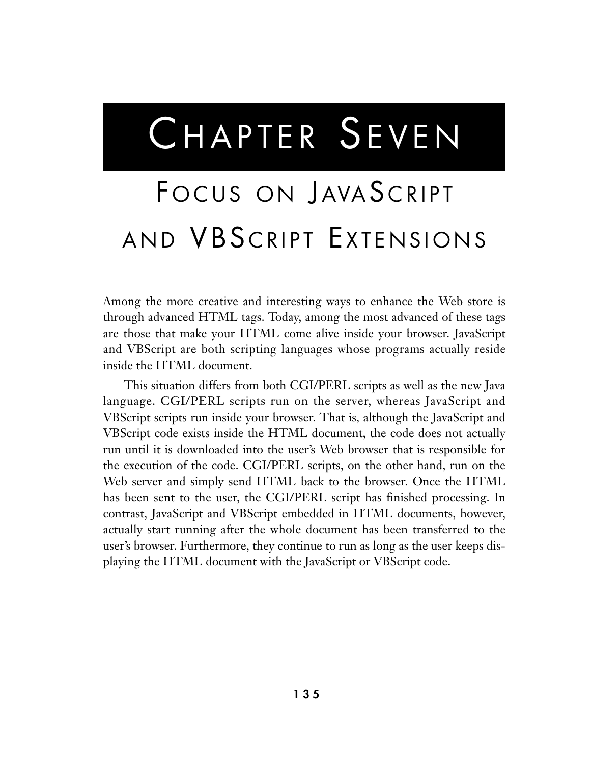# CHAPTER SEVEN

## FOCUS ON JAVASCRIPT AND VBSCRIPT EXTENSIONS

Among the more creative and interesting ways to enhance the Web store is through advanced HTML tags. Today, among the most advanced of these tags are those that make your HTML come alive inside your browser. JavaScript and VBScript are both scripting languages whose programs actually reside inside the HTML document.

This situation differs from both CGI/PERL scripts as well as the new Java language. CGI/PERL scripts run on the server, whereas JavaScript and VBScript scripts run inside your browser. That is, although the JavaScript and VBScript code exists inside the HTML document, the code does not actually run until it is downloaded into the user's Web browser that is responsible for the execution of the code. CGI/PERL scripts, on the other hand, run on the Web server and simply send HTML back to the browser. Once the HTML has been sent to the user, the CGI/PERL script has finished processing. In contrast, JavaScript and VBScript embedded in HTML documents, however, actually start running after the whole document has been transferred to the user's browser. Furthermore, they continue to run as long as the user keeps displaying the HTML document with the JavaScript or VBScript code.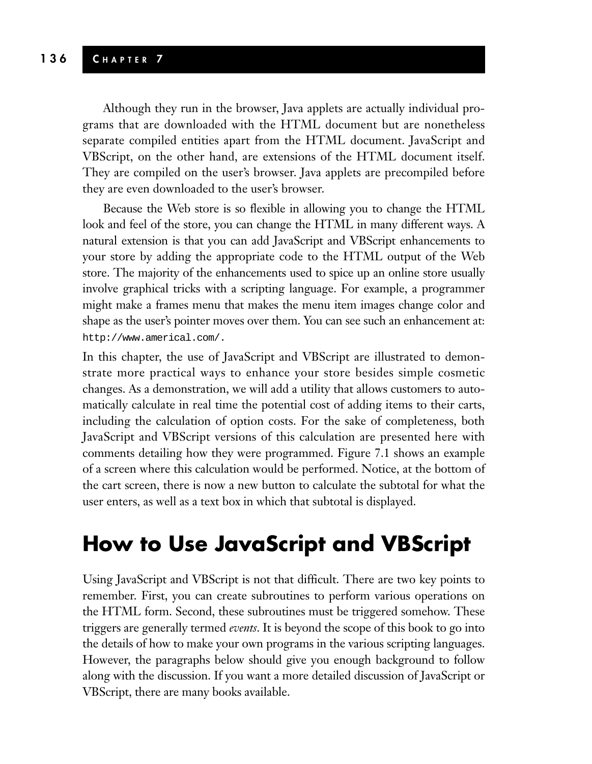Although they run in the browser, Java applets are actually individual programs that are downloaded with the HTML document but are nonetheless separate compiled entities apart from the HTML document. JavaScript and VBScript, on the other hand, are extensions of the HTML document itself. They are compiled on the user's browser. Java applets are precompiled before they are even downloaded to the user's browser.

Because the Web store is so flexible in allowing you to change the HTML look and feel of the store, you can change the HTML in many different ways. A natural extension is that you can add JavaScript and VBScript enhancements to your store by adding the appropriate code to the HTML output of the Web store. The majority of the enhancements used to spice up an online store usually involve graphical tricks with a scripting language. For example, a programmer might make a frames menu that makes the menu item images change color and shape as the user's pointer moves over them. You can see such an enhancement at: http://www.americal.com/.

In this chapter, the use of JavaScript and VBScript are illustrated to demonstrate more practical ways to enhance your store besides simple cosmetic changes. As a demonstration, we will add a utility that allows customers to automatically calculate in real time the potential cost of adding items to their carts, including the calculation of option costs. For the sake of completeness, both JavaScript and VBScript versions of this calculation are presented here with comments detailing how they were programmed. Figure 7.1 shows an example of a screen where this calculation would be performed. Notice, at the bottom of the cart screen, there is now a new button to calculate the subtotal for what the user enters, as well as a text box in which that subtotal is displayed.

## **How to Use JavaScript and VBScript**

Using JavaScript and VBScript is not that difficult. There are two key points to remember. First, you can create subroutines to perform various operations on the HTML form. Second, these subroutines must be triggered somehow. These triggers are generally termed *events*. It is beyond the scope of this book to go into the details of how to make your own programs in the various scripting languages. However, the paragraphs below should give you enough background to follow along with the discussion. If you want a more detailed discussion of JavaScript or VBScript, there are many books available.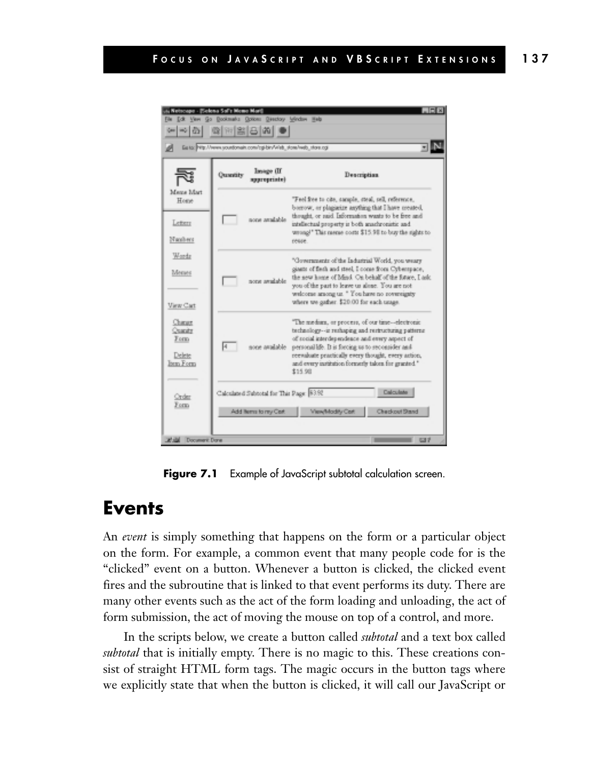| $\Box$ DIX<br>A Nebroape - Elekono Sof's Memo Marij<br>File Edit View Go Bookmarks Options Birectory Window Help<br>$Q =  E $ $ E  =  E $<br>$\frac{1}{2}$<br>Easter Pritz //www.sountonain.com/cgi-bin/Vileb_stoss/web_store.cgi |           |                                                                  |                                                                                                                                                                                                                                                                                                                                       |
|-----------------------------------------------------------------------------------------------------------------------------------------------------------------------------------------------------------------------------------|-----------|------------------------------------------------------------------|---------------------------------------------------------------------------------------------------------------------------------------------------------------------------------------------------------------------------------------------------------------------------------------------------------------------------------------|
|                                                                                                                                                                                                                                   | Quantity  | Image (II)<br>spproprints)                                       | Description                                                                                                                                                                                                                                                                                                                           |
| Meza Mart<br>Home<br>Lettern<br>Napibers                                                                                                                                                                                          |           | none arrabible                                                   | "Feel free to cite, sample, steal, sell, reference,<br>borrow, or plagistize anything that I have created,<br>thought, or said. Information wants to be free and<br>intellectual property is both anachronistic and<br>wrong!" This meme costs \$15.98 to buy the sights to<br>reuse.                                                 |
| Wordz<br>Menes<br>View Cart                                                                                                                                                                                                       |           | none available                                                   | "Governments of the Industrial World, you weary<br>giants of fiesh and steel, I come from Cyberspace,<br>the new home of Mind. On behalf of the future, I ask:<br>you of the part to leave us alone. You are not<br>welcome among us. " You have no rovereignty<br>where we gather. \$20.00 for each usage.                           |
| Change<br>Quarity<br>Form<br>Delete<br>Ism Form                                                                                                                                                                                   | $\vert$ 4 | none available.                                                  | "The median, or process, of our time--electronic<br>technology--is restaping and restructuring patterns<br>of social interdependence and every aspect of<br>personal life. It is forcing us to seconsider and<br>reevaluate practically every thought, every action,<br>and every institution formerly taken for granted."<br>\$15.98 |
| Order<br>Form                                                                                                                                                                                                                     |           | Calculated Subtotal for This Page: 83.92<br>Add Items to my Cert | Calculate<br>View/Modify Cort<br>Checkout Stand                                                                                                                                                                                                                                                                                       |

**Figure 7.1** Example of JavaScript subtotal calculation screen.

#### **Events**

An *event* is simply something that happens on the form or a particular object on the form. For example, a common event that many people code for is the "clicked" event on a button. Whenever a button is clicked, the clicked event fires and the subroutine that is linked to that event performs its duty. There are many other events such as the act of the form loading and unloading, the act of form submission, the act of moving the mouse on top of a control, and more.

In the scripts below, we create a button called *subtotal* and a text box called *subtotal* that is initially empty. There is no magic to this. These creations consist of straight HTML form tags. The magic occurs in the button tags where we explicitly state that when the button is clicked, it will call our JavaScript or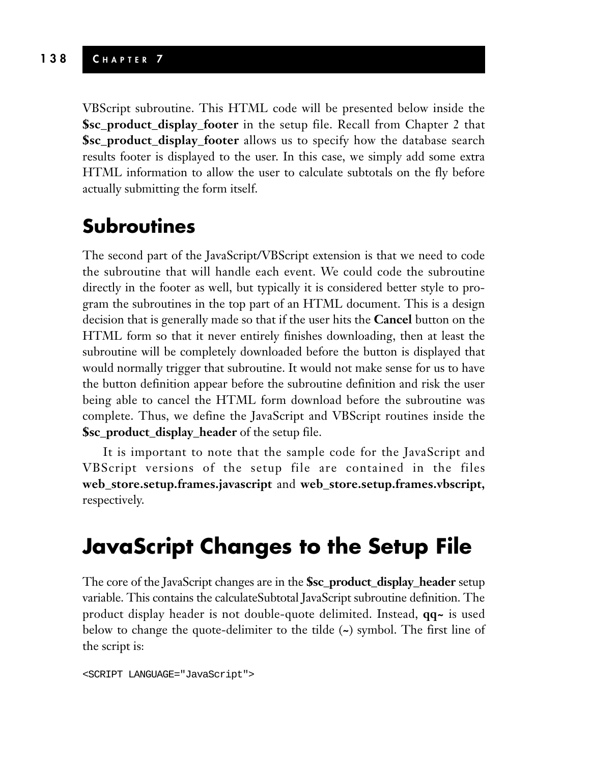VBScript subroutine. This HTML code will be presented below inside the **\$sc\_product\_display\_footer** in the setup file. Recall from Chapter 2 that **\$sc\_product\_display\_footer** allows us to specify how the database search results footer is displayed to the user. In this case, we simply add some extra HTML information to allow the user to calculate subtotals on the fly before actually submitting the form itself.

### **Subroutines**

The second part of the JavaScript/VBScript extension is that we need to code the subroutine that will handle each event. We could code the subroutine directly in the footer as well, but typically it is considered better style to program the subroutines in the top part of an HTML document. This is a design decision that is generally made so that if the user hits the **Cancel** button on the HTML form so that it never entirely finishes downloading, then at least the subroutine will be completely downloaded before the button is displayed that would normally trigger that subroutine. It would not make sense for us to have the button definition appear before the subroutine definition and risk the user being able to cancel the HTML form download before the subroutine was complete. Thus, we define the JavaScript and VBScript routines inside the **\$sc\_product\_display\_header** of the setup file.

It is important to note that the sample code for the JavaScript and VBScript versions of the setup file are contained in the files **web\_store.setup.frames.javascript** and **web\_store.setup.frames.vbscript,** respectively.

## **JavaScript Changes to the Setup File**

The core of the JavaScript changes are in the **\$sc\_product\_display\_header** setup variable. This contains the calculateSubtotal JavaScript subroutine definition. The product display header is not double-quote delimited. Instead, **qq~** is used below to change the quote-delimiter to the tilde (**~**) symbol. The first line of the script is:

```
<SCRIPT LANGUAGE="JavaScript">
```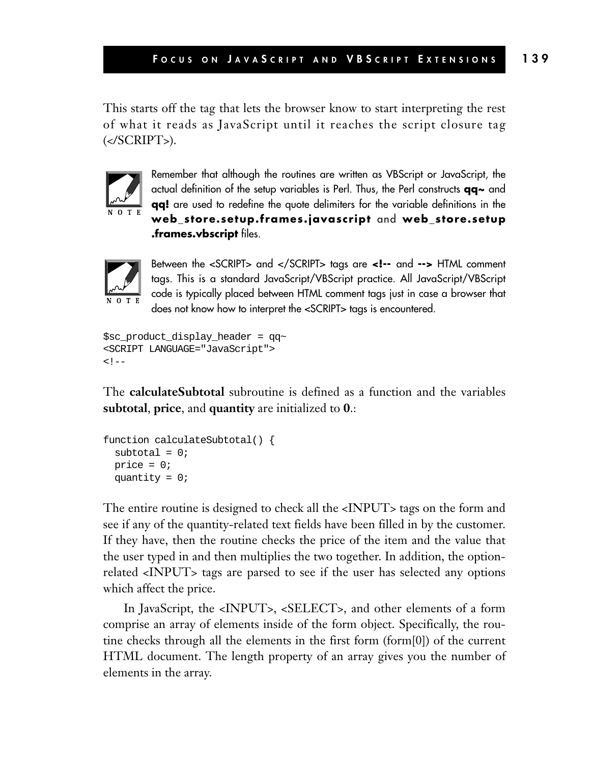This starts off the tag that lets the browser know to start interpreting the rest of what it reads as JavaScript until it reaches the script closure tag (</SCRIPT>).



Remember that although the routines are written as VBScript or JavaScript, the actual definition of the setup variables is Perl. Thus, the Perl constructs **qq~** and **qq!** are used to redefine the quote delimiters for the variable definitions in the **web\_store.setup.frames.javascript** and **web\_store.setup .frames.vbscript** files.



Between the <SCRIPT> and </SCRIPT> tags are **<!--** and **-->** HTML comment tags. This is a standard JavaScript/VBScript practice. All JavaScript/VBScript code is typically placed between HTML comment tags just in case a browser that does not know how to interpret the <SCRIPT> tags is encountered.

```
$sc_product_display_header = qq~
<SCRIPT LANGUAGE="JavaScript">
1 -
```
The **calculateSubtotal** subroutine is defined as a function and the variables **subtotal**, **price**, and **quantity** are initialized to **0**.:

```
function calculateSubtotal() {
 subtotal = 0;
 price = 0;quantity = 0;
```
The entire routine is designed to check all the <INPUT> tags on the form and see if any of the quantity-related text fields have been filled in by the customer. If they have, then the routine checks the price of the item and the value that the user typed in and then multiplies the two together. In addition, the optionrelated <INPUT> tags are parsed to see if the user has selected any options which affect the price.

In JavaScript, the <INPUT>, <SELECT>, and other elements of a form comprise an array of elements inside of the form object. Specifically, the routine checks through all the elements in the first form (form[0]) of the current HTML document. The length property of an array gives you the number of elements in the array.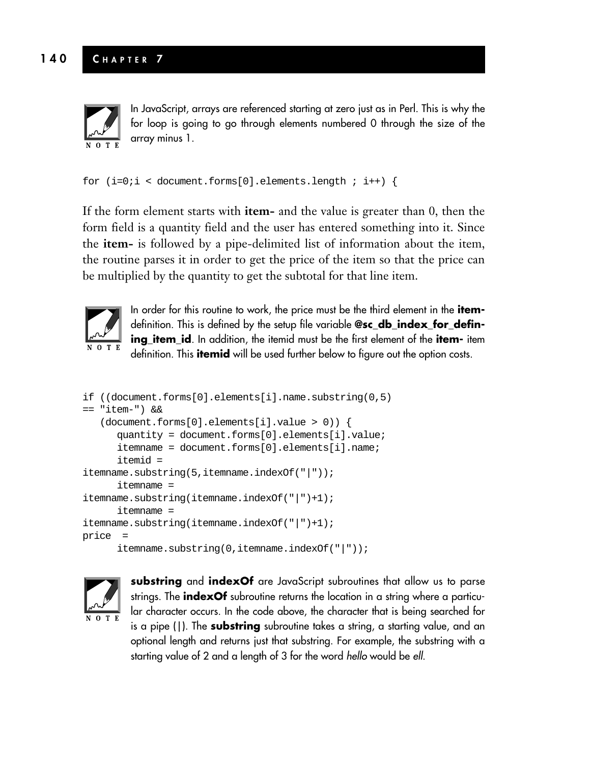

In JavaScript, arrays are referenced starting at zero just as in Perl. This is why the for loop is going to go through elements numbered 0 through the size of the array minus 1.

```
for (i=0:i < document.forms[0].elements.length : i++) {
```
If the form element starts with **item-** and the value is greater than 0, then the form field is a quantity field and the user has entered something into it. Since the **item-** is followed by a pipe-delimited list of information about the item, the routine parses it in order to get the price of the item so that the price can be multiplied by the quantity to get the subtotal for that line item.



In order for this routine to work, the price must be the third element in the **item**definition. This is defined by the setup file variable **@sc\_db\_index\_for\_defining\_item\_id**. In addition, the itemid must be the first element of the **item-** item definition. This **itemid** will be used further below to figure out the option costs.

```
if ((document.forms[0].elements[i].name.substring(0,5)
== "item-") &&
   (document.forms[0].elements[i].value > 0)) {
     quantity = document.forms[0].elements[i].value;
      itemname = document.forms[0].elements[i].name;
     itemid =
itemname.substring(5,itemname.indexOf("|"));
      itemname =
itemname.substring(itemname.indexOf("|")+1);
     itemname =
itemname.substring(itemname.indexOf("|")+1);
price =
     itemname.substring(0,itemname.indexOf("|"));
```


**substring** and **indexOf** are JavaScript subroutines that allow us to parse strings. The **indexOf** subroutine returns the location in a string where a particular character occurs. In the code above, the character that is being searched for is a pipe (|). The **substring** subroutine takes a string, a starting value, and an optional length and returns just that substring. For example, the substring with a starting value of 2 and a length of 3 for the word *hello* would be *ell*.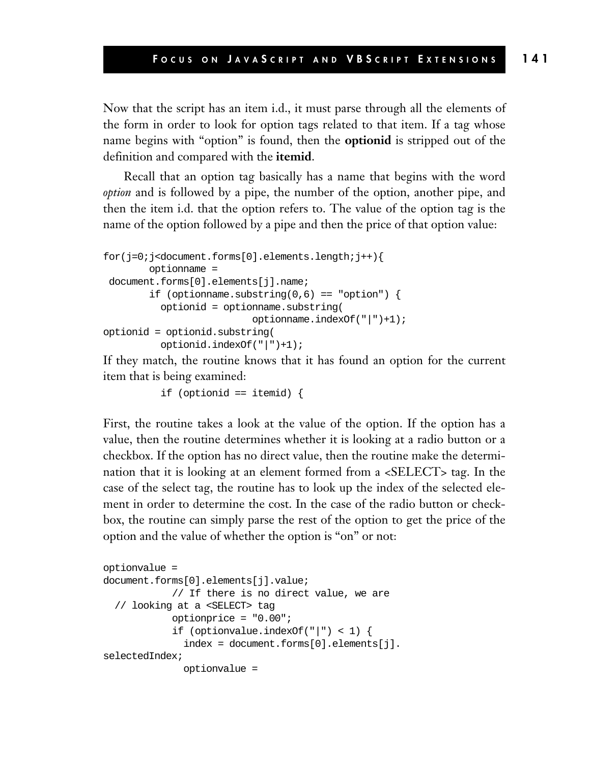Now that the script has an item i.d., it must parse through all the elements of the form in order to look for option tags related to that item. If a tag whose name begins with "option" is found, then the **optionid** is stripped out of the definition and compared with the **itemid**.

Recall that an option tag basically has a name that begins with the word *option* and is followed by a pipe, the number of the option, another pipe, and then the item i.d. that the option refers to. The value of the option tag is the name of the option followed by a pipe and then the price of that option value:

```
for(j=0;j<document.forms[0].elements.length;j++){
        optionname =
document.forms[0].elements[j].name;
        if (optionname.substring(0,6) == "option") {
          optionid = optionname.substring(
                          optionname.indexOf("|")+1);
optionid = optionid.substring(
          optionid.indexOf("|")+1);
```
If they match, the routine knows that it has found an option for the current item that is being examined:

```
if (optionid == itemid) {
```
First, the routine takes a look at the value of the option. If the option has a value, then the routine determines whether it is looking at a radio button or a checkbox. If the option has no direct value, then the routine make the determination that it is looking at an element formed from a <SELECT> tag. In the case of the select tag, the routine has to look up the index of the selected element in order to determine the cost. In the case of the radio button or checkbox, the routine can simply parse the rest of the option to get the price of the option and the value of whether the option is "on" or not:

```
optionvalue =
document.forms[0].elements[j].value;
            // If there is no direct value, we are
  // looking at a <SELECT> tag
            optionprice = "0.00";
            if (optionvalue.indexOf("|") < 1) {
              index = document.forms[0].elements[j].
selectedIndex;
              optionvalue =
```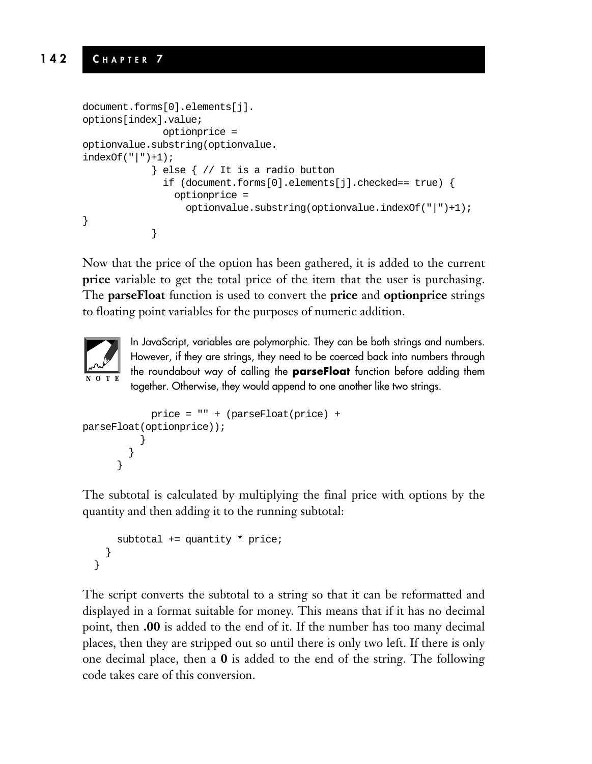```
document.forms[0].elements[j].
options[index].value;
              optionprice =
optionvalue.substring(optionvalue.
indexOf('|") + 1);} else { // It is a radio button
              if (document.forms[0].elements[j].checked== true) {
                optionprice =
                  optionvalue.substring(optionvalue.indexOf("|")+1);
}
            }
```
Now that the price of the option has been gathered, it is added to the current **price** variable to get the total price of the item that the user is purchasing. The **parseFloat** function is used to convert the **price** and **optionprice** strings to floating point variables for the purposes of numeric addition.



In JavaScript, variables are polymorphic. They can be both strings and numbers. However, if they are strings, they need to be coerced back into numbers through the roundabout way of calling the **parseFloat** function before adding them together. Otherwise, they would append to one another like two strings.

```
price = "" + (parseFloat(price) +
parseFloat(optionprice));
          }
        }
      }
```
The subtotal is calculated by multiplying the final price with options by the quantity and then adding it to the running subtotal:

```
subtotal += quantity * price;
  }
}
```
The script converts the subtotal to a string so that it can be reformatted and displayed in a format suitable for money. This means that if it has no decimal point, then **.00** is added to the end of it. If the number has too many decimal places, then they are stripped out so until there is only two left. If there is only one decimal place, then a **0** is added to the end of the string. The following code takes care of this conversion.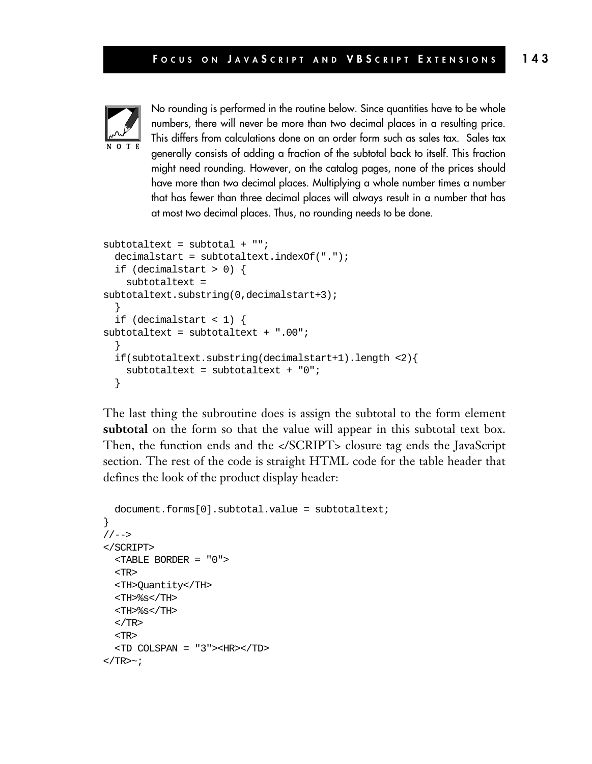

No rounding is performed in the routine below. Since quantities have to be whole numbers, there will never be more than two decimal places in a resulting price. This differs from calculations done on an order form such as sales tax. Sales tax generally consists of adding a fraction of the subtotal back to itself. This fraction might need rounding. However, on the catalog pages, none of the prices should have more than two decimal places. Multiplying a whole number times a number that has fewer than three decimal places will always result in a number that has at most two decimal places. Thus, no rounding needs to be done.

```
subtotaltext = subtotal + "";decimalstart = subtotaltext.indexOf(".");
  if (decimalstart > 0) {
    subtotaltext =
subtotaltext.substring(0,decimalstart+3);
  }
  if (decimalstart < 1) {
subtotaltext = subtotaltext + ".00";
  }
  if(subtotaltext.substring(decimalstart+1).length <2){
    subtotaltext = subtotaltext + "0";
  }
```
The last thing the subroutine does is assign the subtotal to the form element **subtotal** on the form so that the value will appear in this subtotal text box. Then, the function ends and the </SCRIPT> closure tag ends the JavaScript section. The rest of the code is straight HTML code for the table header that defines the look of the product display header:

```
document.forms[0].subtotal.value = subtotaltext;
}
// -></SCRIPT>
  <TABLE BORDER = "0">
  <TR>
  <TH>Quantity</TH>
  <TH>%s</TH>
  <TH>%s</TH>
  </TR><TR>
  <TD COLSPAN = "3"><HR></TD>
\langleTR>\sim;
```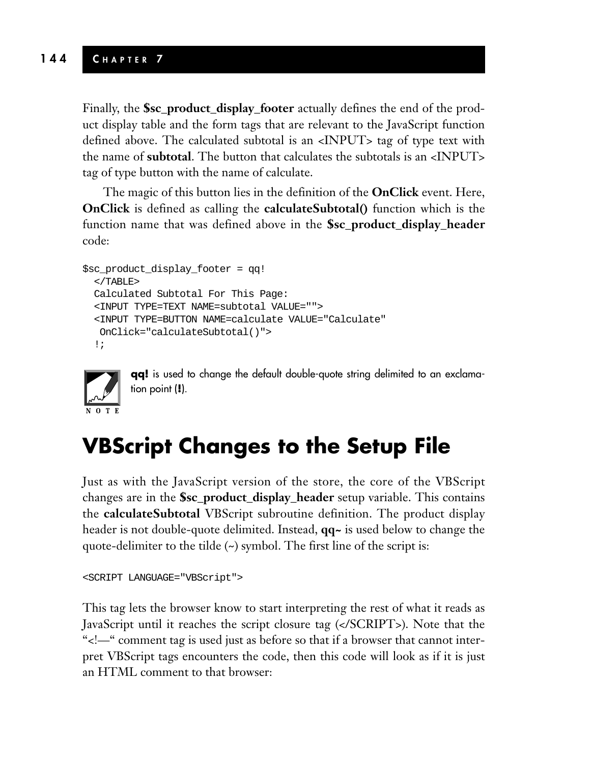Finally, the **\$sc\_product\_display\_footer** actually defines the end of the product display table and the form tags that are relevant to the JavaScript function defined above. The calculated subtotal is an <INPUT> tag of type text with the name of **subtotal**. The button that calculates the subtotals is an <INPUT> tag of type button with the name of calculate.

The magic of this button lies in the definition of the **OnClick** event. Here, **OnClick** is defined as calling the **calculateSubtotal**() function which is the function name that was defined above in the **\$sc\_product\_display\_header** code:

```
$sc_product_display_footer = qq!
  </TABLE>
 Calculated Subtotal For This Page:
 <INPUT TYPE=TEXT NAME=subtotal VALUE="">
  <INPUT TYPE=BUTTON NAME=calculate VALUE="Calculate"
  OnClick="calculateSubtotal()">
  !;
```


**qq!** is used to change the default double-quote string delimited to an exclamation point (**!**).

## **VBScript Changes to the Setup File**

Just as with the JavaScript version of the store, the core of the VBScript changes are in the **\$sc\_product\_display\_header** setup variable. This contains the **calculateSubtotal** VBScript subroutine definition. The product display header is not double-quote delimited. Instead, **qq~** is used below to change the quote-delimiter to the tilde (~) symbol. The first line of the script is:

```
<SCRIPT LANGUAGE="VBScript">
```
This tag lets the browser know to start interpreting the rest of what it reads as JavaScript until it reaches the script closure tag (</SCRIPT>). Note that the "<!—" comment tag is used just as before so that if a browser that cannot interpret VBScript tags encounters the code, then this code will look as if it is just an HTML comment to that browser: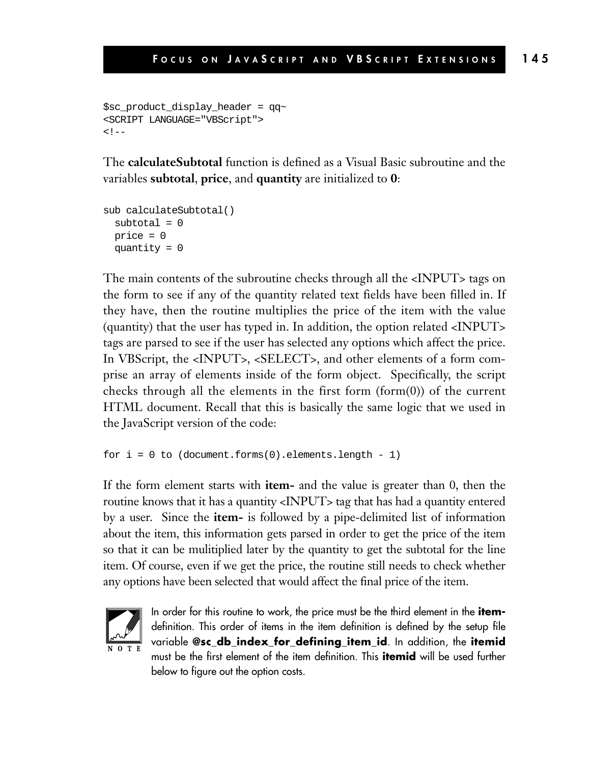```
$sc product display header = qq~
<SCRIPT LANGUAGE="VBScript">
<! --
```
The **calculateSubtotal** function is defined as a Visual Basic subroutine and the variables **subtotal**, **price**, and **quantity** are initialized to **0**:

```
sub calculateSubtotal()
 subtotal = 0price = 0
 quantity = 0
```
The main contents of the subroutine checks through all the <INPUT> tags on the form to see if any of the quantity related text fields have been filled in. If they have, then the routine multiplies the price of the item with the value (quantity) that the user has typed in. In addition, the option related <INPUT> tags are parsed to see if the user has selected any options which affect the price. In VBScript, the <INPUT>, <SELECT>, and other elements of a form comprise an array of elements inside of the form object. Specifically, the script checks through all the elements in the first form (form(0)) of the current HTML document. Recall that this is basically the same logic that we used in the JavaScript version of the code:

```
for i = 0 to (document.forms(0).elements.length - 1)
```
If the form element starts with **item-** and the value is greater than 0, then the routine knows that it has a quantity <INPUT> tag that has had a quantity entered by a user. Since the **item-** is followed by a pipe-delimited list of information about the item, this information gets parsed in order to get the price of the item so that it can be mulitiplied later by the quantity to get the subtotal for the line item. Of course, even if we get the price, the routine still needs to check whether any options have been selected that would affect the final price of the item.



In order for this routine to work, the price must be the third element in the **item**definition. This order of items in the item definition is defined by the setup file variable **@sc\_db\_index\_for\_defining\_item\_id**. In addition, the **itemid** must be the first element of the item definition. This **itemid** will be used further below to figure out the option costs.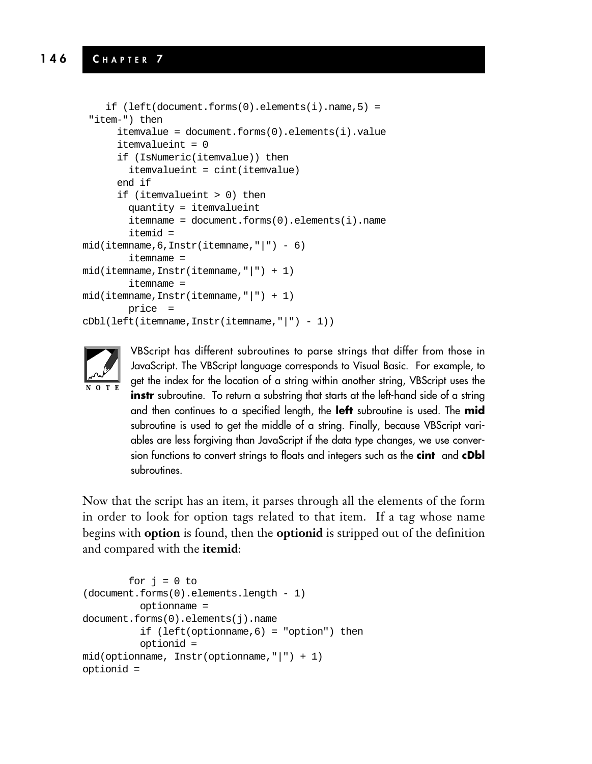```
if (left(document.forms(0).elements(i).name,5)) ="item-") then
      itemvalue = document.forms(0).elements(i).value
      itemvalueint = 0
      if (IsNumeric(itemvalue)) then
        itemvalueint = cint(itemvalue)
      end if
      if (itemvalueint > 0) then
        quantity = itemvalueint
        itemname = document.forms(0).elements(i).name
        itemid =
mid(itemname, 6, Instr(itemname, "|") - 6)
        itemname =
mid(itemname,Instr(itemname,"|") + 1)
        itemname =
mid(itemname, Instr(itemname, "|") + 1)
        price =
cDbl(left(itemname,Instr(itemname,"|") - 1))
```


VBScript has different subroutines to parse strings that differ from those in JavaScript. The VBScript language corresponds to Visual Basic. For example, to get the index for the location of a string within another string, VBScript uses the **instr** subroutine. To return a substring that starts at the left-hand side of a string and then continues to a specified length, the **left** subroutine is used. The **mid** subroutine is used to get the middle of a string. Finally, because VBScript variables are less forgiving than JavaScript if the data type changes, we use conversion functions to convert strings to floats and integers such as the **cint** and **cDbl** subroutines.

Now that the script has an item, it parses through all the elements of the form in order to look for option tags related to that item. If a tag whose name begins with **option** is found, then the **optionid** is stripped out of the definition and compared with the **itemid**:

```
for j = 0 to
(document.forms(0).elements.length - 1)
          optionname =
document.forms(0).elements(j).name
          if (left(optionname,6) = "option") then
          optionid =
mid(optionname, Instr(optionname,"|") + 1)
optionid =
```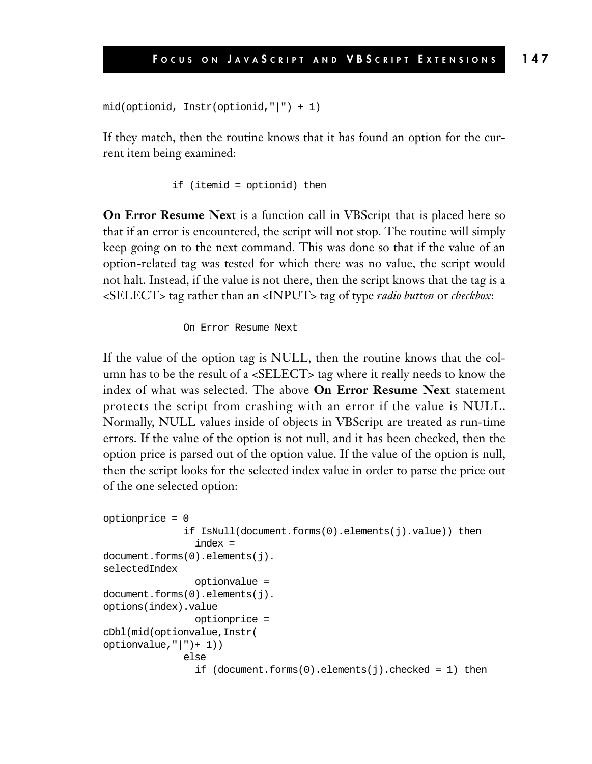```
mid(optionid, Instr(optionid,"|") + 1)
```
If they match, then the routine knows that it has found an option for the current item being examined:

if (itemid = optionid) then

**On Error Resume Next** is a function call in VBScript that is placed here so that if an error is encountered, the script will not stop. The routine will simply keep going on to the next command. This was done so that if the value of an option-related tag was tested for which there was no value, the script would not halt. Instead, if the value is not there, then the script knows that the tag is a <SELECT> tag rather than an <INPUT> tag of type *radio button* or *checkbox*:

On Error Resume Next

If the value of the option tag is NULL, then the routine knows that the column has to be the result of a <SELECT> tag where it really needs to know the index of what was selected. The above **On Error Resume Next** statement protects the script from crashing with an error if the value is NULL. Normally, NULL values inside of objects in VBScript are treated as run-time errors. If the value of the option is not null, and it has been checked, then the option price is parsed out of the option value. If the value of the option is null, then the script looks for the selected index value in order to parse the price out of the one selected option:

```
optionprice = 0
              if IsNull(document.forms(0).elements(j).value)) then
                index =
document.forms(0).elements(j).
selectedIndex
                optionvalue =
document.forms(0).elements(j).
options(index).value
                optionprice =
cDbl(mid(optionvalue,Instr(
optionvalue,"|")+ 1))
              else
                if (document.forms(0).elements(i).checked = 1) then
```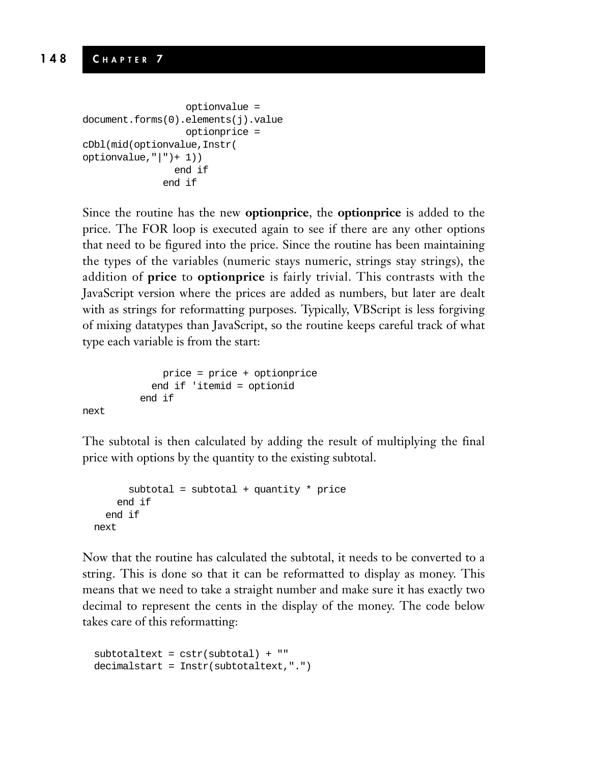```
optionvalue =
document.forms(0).elements(j).value
                  optionprice =
cDbl(mid(optionvalue,Instr(
optionvalue,"|") + 1))
                end if
              end if
```
Since the routine has the new **optionprice**, the **optionprice** is added to the price. The FOR loop is executed again to see if there are any other options that need to be figured into the price. Since the routine has been maintaining the types of the variables (numeric stays numeric, strings stay strings), the addition of **price** to **optionprice** is fairly trivial. This contrasts with the JavaScript version where the prices are added as numbers, but later are dealt with as strings for reformatting purposes. Typically, VBScript is less forgiving of mixing datatypes than JavaScript, so the routine keeps careful track of what type each variable is from the start:

```
price = price + optionprice
  end if 'itemid = optionid
end if
```
next

The subtotal is then calculated by adding the result of multiplying the final price with options by the quantity to the existing subtotal.

```
subtotal = subtotal + quantity * price
    end if
  end if
next
```
Now that the routine has calculated the subtotal, it needs to be converted to a string. This is done so that it can be reformatted to display as money. This means that we need to take a straight number and make sure it has exactly two decimal to represent the cents in the display of the money. The code below takes care of this reformatting:

```
subtotaltext = cstr(subtotal) + "decimalstart = Instr(subtotaltext,".")
```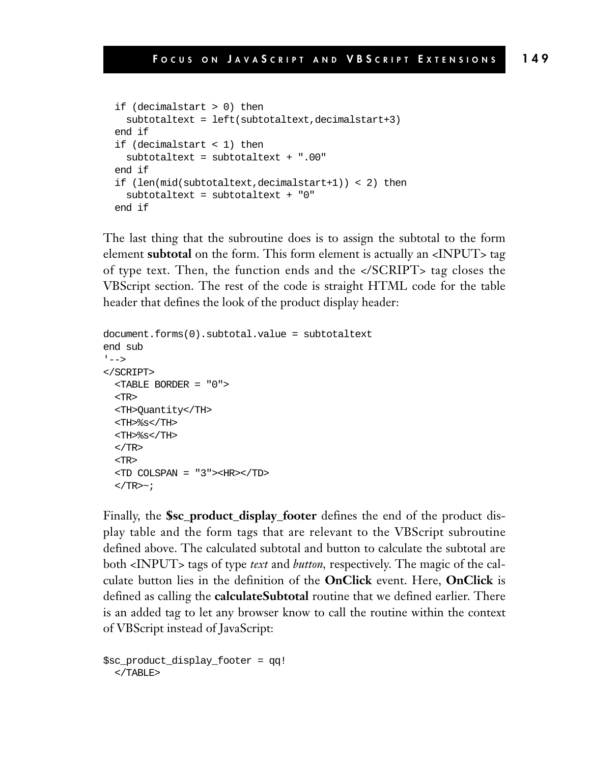```
if (decimalstart > 0) then
  subtotaltext = left(subtotaltext,decimalstart+3)
end if
if (decimalstart < 1) then
  subtotaltext = subtotaltext + ".00"
end if
if (len(mid(subtotaltext,decimalstart+1)) < 2) then
  subtotaltext = subtotaltext + "0"
end if
```
The last thing that the subroutine does is to assign the subtotal to the form element **subtotal** on the form. This form element is actually an <INPUT> tag of type text. Then, the function ends and the </SCRIPT> tag closes the VBScript section. The rest of the code is straight HTML code for the table header that defines the look of the product display header:

```
document.forms(0).subtotal.value = subtotaltext
end sub
' - - ></SCRIPT>
  <TABLE BORDER = "0">
  <TR>
  <TH>Quantity</TH>
  <TH>%s</TH>
  <TH>%s</TH>
  </TR><TR>
  <TD COLSPAN = "3"><HR></TD>
  </TR>\sim;
```
Finally, the **\$sc\_product\_display\_footer** defines the end of the product display table and the form tags that are relevant to the VBScript subroutine defined above. The calculated subtotal and button to calculate the subtotal are both <INPUT> tags of type *text* and *button,* respectively. The magic of the calculate button lies in the definition of the **OnClick** event. Here, **OnClick** is defined as calling the **calculateSubtotal** routine that we defined earlier. There is an added tag to let any browser know to call the routine within the context of VBScript instead of JavaScript:

```
$sc_product_display_footer = qq!
  </TABLE>
```